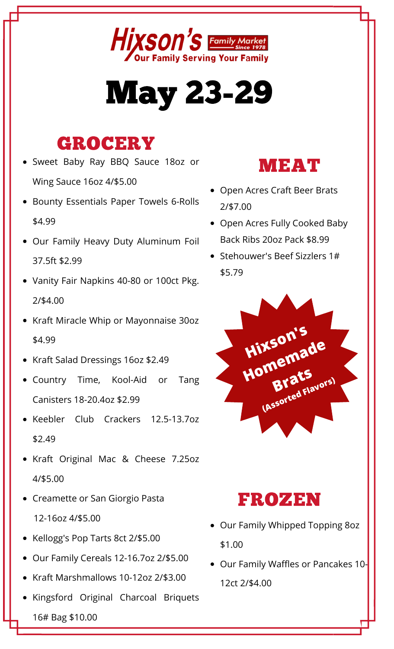

# **May 23-29**

### **GROCERY**

- Sweet Baby Ray BBQ Sauce 18oz or Wing Sauce 16oz 4/\$5.00
- Bounty Essentials Paper Towels 6-Rolls \$4.99
- Our Family Heavy Duty Aluminum Foil 37.5ft \$2.99
- Vanity Fair Napkins 40-80 or 100ct Pkg.  $2/$ \$4.00
- Kraft Miracle Whip or Mayonnaise 30oz \$4.99
- Kraft Salad Dressings 16oz \$2.49
- · Country Time, Kool-Aid or Tang Canisters 18-20.4oz \$2.99
- · Keebler Club Crackers 12.5-13.7oz  $$2.49$
- Kraft Original Mac & Cheese 7.25oz 4/\$5.00
- Creamette or San Giorgio Pasta 12-16oz 4/\$5.00
- Kellogg's Pop Tarts 8ct 2/\$5.00
- Our Family Cereals 12-16.7oz 2/\$5.00
- Kraft Marshmallows 10-12oz 2/\$3.00
- · Kingsford Original Charcoal Briquets 16# Bag \$10.00



- Open Acres Craft Beer Brats  $7/57.00$
- Open Acres Fully Cooked Baby Back Ribs 20oz Pack \$8.99
- Stehouwer's Beef Sizzlers 1# \$5.79



#### **FROZEN**

- Our Family Whipped Topping 80z \$1.00
- Our Family Waffles or Pancakes 10-12ct 2/\$4.00